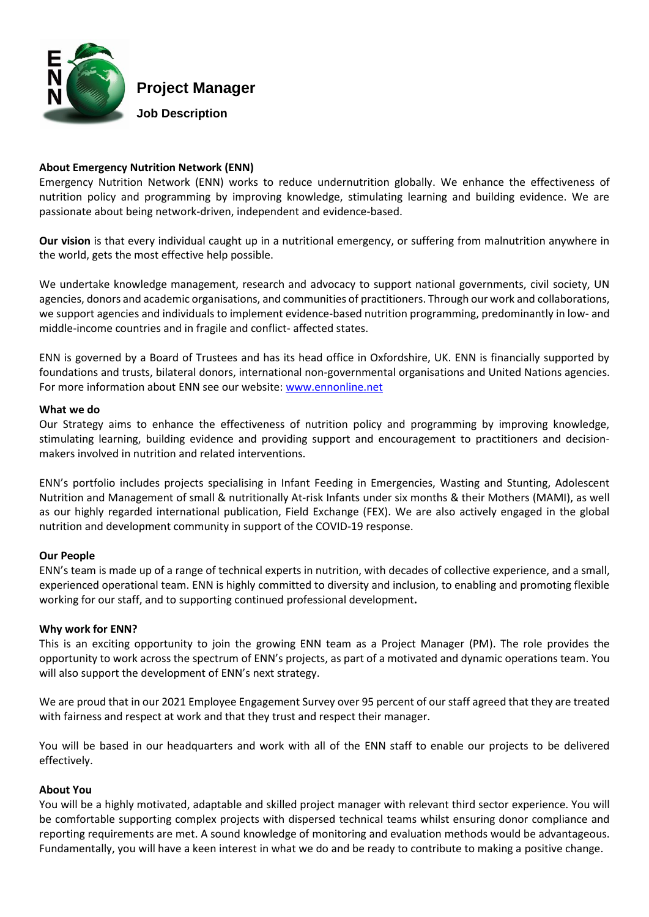

## **About Emergency Nutrition Network (ENN)**

Emergency Nutrition Network (ENN) works to reduce undernutrition globally. We enhance the effectiveness of nutrition policy and programming by improving knowledge, stimulating learning and building evidence. We are passionate about being network-driven, independent and evidence-based.

**Our vision** is that every individual caught up in a nutritional emergency, or suffering from malnutrition anywhere in the world, gets the most effective help possible.

We undertake knowledge management, research and advocacy to support national governments, civil society, UN agencies, donors and academic organisations, and communities of practitioners. Through our work and collaborations, we support agencies and individuals to implement evidence-based nutrition programming, predominantly in low- and middle-income countries and in fragile and conflict- affected states.

ENN is governed by a Board of Trustees and has its head office in Oxfordshire, UK. ENN is financially supported by foundations and trusts, bilateral donors, international non-governmental organisations and United Nations agencies. For more information about ENN see our website: [www.ennonline.net](http://www.ennonline.net/)

### **What we do**

Our Strategy aims to enhance the effectiveness of nutrition policy and programming by improving knowledge, stimulating learning, building evidence and providing support and encouragement to practitioners and decisionmakers involved in nutrition and related interventions.

ENN's portfolio includes projects specialising in Infant Feeding in Emergencies, Wasting and Stunting, Adolescent Nutrition and Management of small & nutritionally At-risk Infants under six months & their Mothers (MAMI), as well as our highly regarded international publication, Field Exchange (FEX). We are also actively engaged in the global nutrition and development community in support of the COVID-19 response.

### **Our People**

ENN's team is made up of a range of technical experts in nutrition, with decades of collective experience, and a small, experienced operational team. ENN is highly committed to diversity and inclusion, to enabling and promoting flexible working for our staff, and to supporting continued professional development**.**

### **Why work for ENN?**

This is an exciting opportunity to join the growing ENN team as a Project Manager (PM). The role provides the opportunity to work across the spectrum of ENN's projects, as part of a motivated and dynamic operations team. You will also support the development of ENN's next strategy.

We are proud that in our 2021 Employee Engagement Survey over 95 percent of our staff agreed that they are treated with fairness and respect at work and that they trust and respect their manager.

You will be based in our headquarters and work with all of the ENN staff to enable our projects to be delivered effectively.

### **About You**

You will be a highly motivated, adaptable and skilled project manager with relevant third sector experience. You will be comfortable supporting complex projects with dispersed technical teams whilst ensuring donor compliance and reporting requirements are met. A sound knowledge of monitoring and evaluation methods would be advantageous. Fundamentally, you will have a keen interest in what we do and be ready to contribute to making a positive change.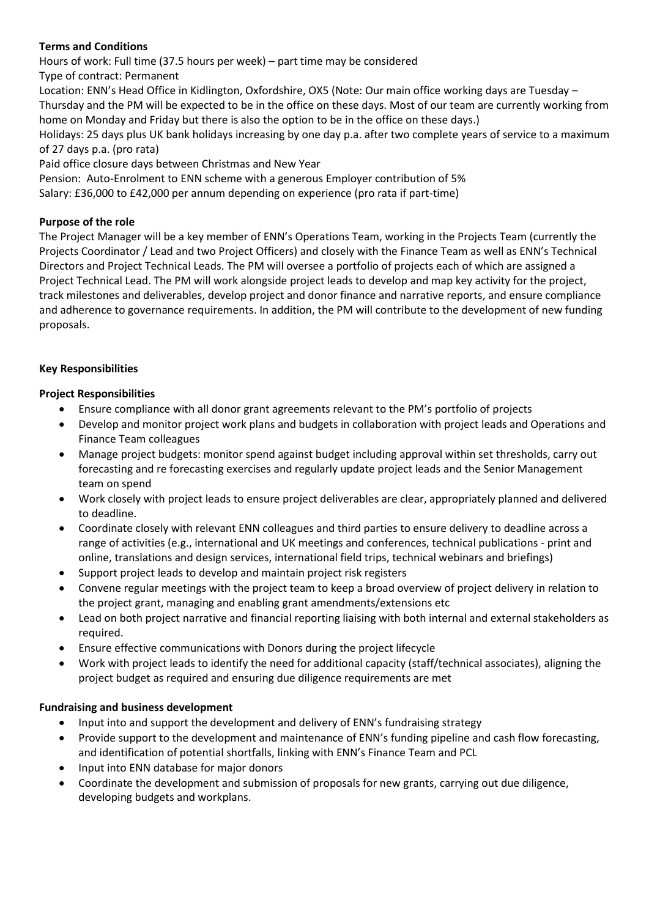# **Terms and Conditions**

Hours of work: Full time (37.5 hours per week) – part time may be considered

Type of contract: Permanent

Location: ENN's Head Office in Kidlington, Oxfordshire, OX5 (Note: Our main office working days are Tuesday – Thursday and the PM will be expected to be in the office on these days. Most of our team are currently working from home on Monday and Friday but there is also the option to be in the office on these days.)

Holidays: 25 days plus UK bank holidays increasing by one day p.a. after two complete years of service to a maximum of 27 days p.a. (pro rata)

Paid office closure days between Christmas and New Year

Pension: Auto-Enrolment to ENN scheme with a generous Employer contribution of 5%

Salary: £36,000 to £42,000 per annum depending on experience (pro rata if part-time)

## **Purpose of the role**

The Project Manager will be a key member of ENN's Operations Team, working in the Projects Team (currently the Projects Coordinator / Lead and two Project Officers) and closely with the Finance Team as well as ENN's Technical Directors and Project Technical Leads. The PM will oversee a portfolio of projects each of which are assigned a Project Technical Lead. The PM will work alongside project leads to develop and map key activity for the project, track milestones and deliverables, develop project and donor finance and narrative reports, and ensure compliance and adherence to governance requirements. In addition, the PM will contribute to the development of new funding proposals.

## **Key Responsibilities**

## **Project Responsibilities**

- Ensure compliance with all donor grant agreements relevant to the PM's portfolio of projects
- Develop and monitor project work plans and budgets in collaboration with project leads and Operations and Finance Team colleagues
- Manage project budgets: monitor spend against budget including approval within set thresholds, carry out forecasting and re forecasting exercises and regularly update project leads and the Senior Management team on spend
- Work closely with project leads to ensure project deliverables are clear, appropriately planned and delivered to deadline.
- Coordinate closely with relevant ENN colleagues and third parties to ensure delivery to deadline across a range of activities (e.g., international and UK meetings and conferences, technical publications - print and online, translations and design services, international field trips, technical webinars and briefings)
- Support project leads to develop and maintain project risk registers
- Convene regular meetings with the project team to keep a broad overview of project delivery in relation to the project grant, managing and enabling grant amendments/extensions etc
- Lead on both project narrative and financial reporting liaising with both internal and external stakeholders as required.
- Ensure effective communications with Donors during the project lifecycle
- Work with project leads to identify the need for additional capacity (staff/technical associates), aligning the project budget as required and ensuring due diligence requirements are met

## **Fundraising and business development**

- Input into and support the development and delivery of ENN's fundraising strategy
- Provide support to the development and maintenance of ENN's funding pipeline and cash flow forecasting, and identification of potential shortfalls, linking with ENN's Finance Team and PCL
- Input into ENN database for major donors
- Coordinate the development and submission of proposals for new grants, carrying out due diligence, developing budgets and workplans.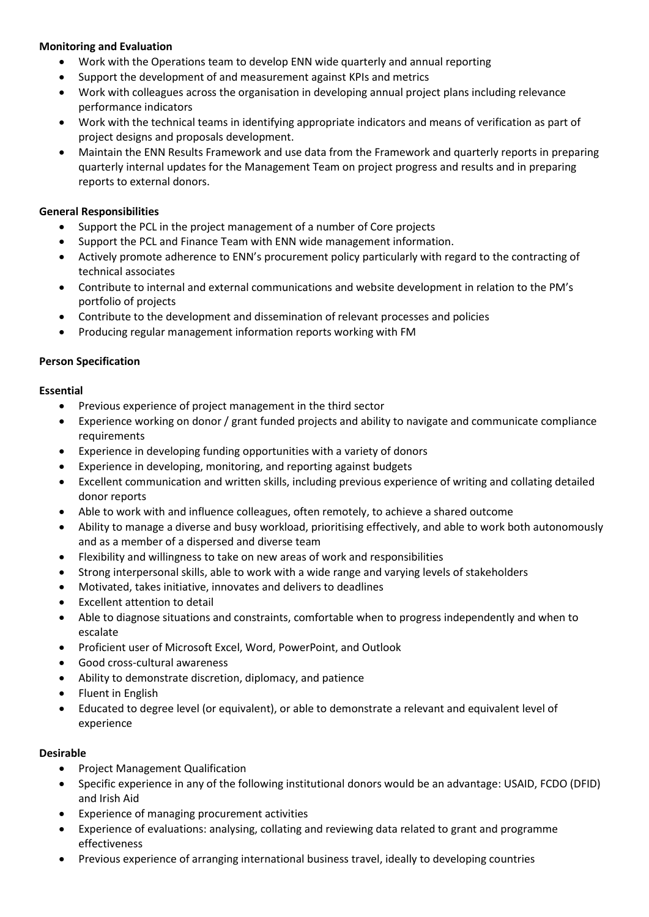## **Monitoring and Evaluation**

- Work with the Operations team to develop ENN wide quarterly and annual reporting
- Support the development of and measurement against KPIs and metrics
- Work with colleagues across the organisation in developing annual project plans including relevance performance indicators
- Work with the technical teams in identifying appropriate indicators and means of verification as part of project designs and proposals development.
- Maintain the ENN Results Framework and use data from the Framework and quarterly reports in preparing quarterly internal updates for the Management Team on project progress and results and in preparing reports to external donors.

### **General Responsibilities**

- Support the PCL in the project management of a number of Core projects
- Support the PCL and Finance Team with ENN wide management information.
- Actively promote adherence to ENN's procurement policy particularly with regard to the contracting of technical associates
- Contribute to internal and external communications and website development in relation to the PM's portfolio of projects
- Contribute to the development and dissemination of relevant processes and policies
- Producing regular management information reports working with FM

## **Person Specification**

## **Essential**

- Previous experience of project management in the third sector
- Experience working on donor / grant funded projects and ability to navigate and communicate compliance requirements
- Experience in developing funding opportunities with a variety of donors
- Experience in developing, monitoring, and reporting against budgets
- Excellent communication and written skills, including previous experience of writing and collating detailed donor reports
- Able to work with and influence colleagues, often remotely, to achieve a shared outcome
- Ability to manage a diverse and busy workload, prioritising effectively, and able to work both autonomously and as a member of a dispersed and diverse team
- Flexibility and willingness to take on new areas of work and responsibilities
- Strong interpersonal skills, able to work with a wide range and varying levels of stakeholders
- Motivated, takes initiative, innovates and delivers to deadlines
- Excellent attention to detail
- Able to diagnose situations and constraints, comfortable when to progress independently and when to escalate
- Proficient user of Microsoft Excel, Word, PowerPoint, and Outlook
- Good cross-cultural awareness
- Ability to demonstrate discretion, diplomacy, and patience
- Fluent in English
- Educated to degree level (or equivalent), or able to demonstrate a relevant and equivalent level of experience

### **Desirable**

- Project Management Qualification
- Specific experience in any of the following institutional donors would be an advantage: USAID, FCDO (DFID) and Irish Aid
- Experience of managing procurement activities
- Experience of evaluations: analysing, collating and reviewing data related to grant and programme effectiveness
- Previous experience of arranging international business travel, ideally to developing countries